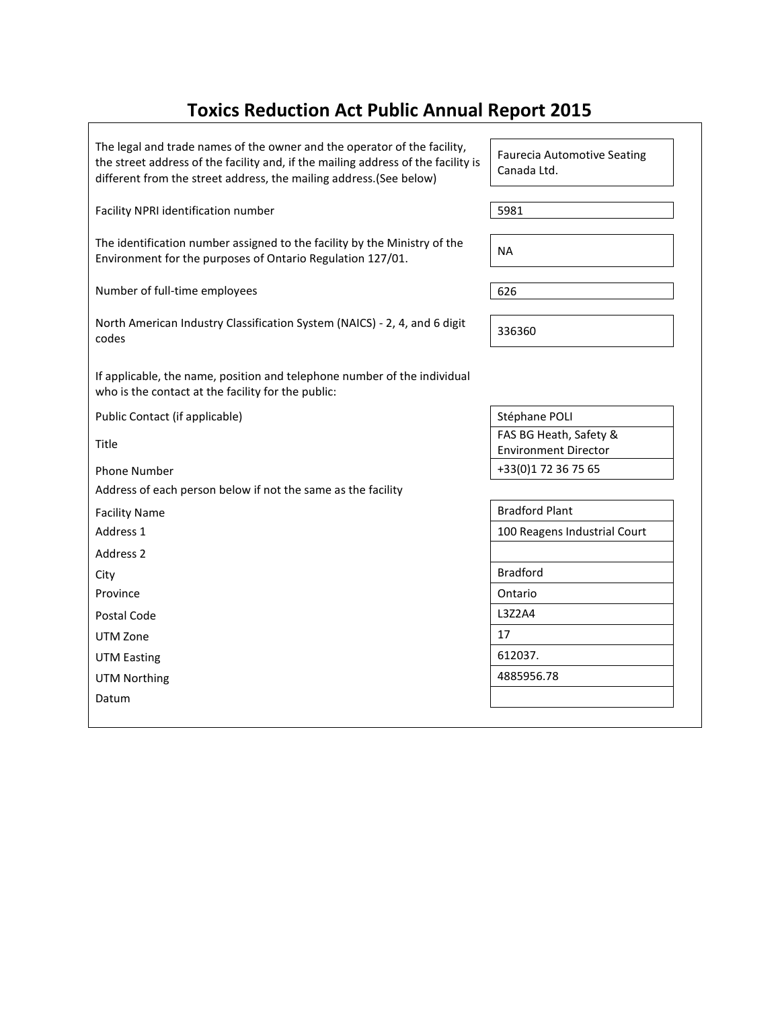## **Toxics Reduction Act Public Annual Report 2015**

The legal and trade names of the owner and the operator of the facility, the street address of the facility and, if the mailing address of the facility is different from the street address, the mailing address.(See below)

Facility NPRI identification number 5981

The identification number assigned to the facility by the Ministry of the Environment for the purposes of Ontario Regulation 127/01.

Number of full-time employees 626

| North American Industry Classification System (NAICS) - 2, 4, and 6 digit | 336360 |
|---------------------------------------------------------------------------|--------|
| codes                                                                     |        |

If applicable, the name, position and telephone number of the individual who is the contact at the facility for the public:

Public Contact (if applicable) Stéphane POLI

Title

Address of each person below if not the same as the facility

Address 2

UTM Zone 2012 17

UTM Easting 612037.

UTM Northing 2008 2012 2022 2023 2024 2022 2023 2024 2022 2023 2024 2022 2023 2024 2022 2023 2024 2022 2023 20

Datum

Faurecia Automotive Seating Canada Ltd.

FAS BG Heath, Safety & Environment Director Phone Number +33(0)1 72 36 75 65

Facility Name **Bradford Plant** Address 1 100 Reagens Industrial Court City Bradford Province and a contract of the Contract of the Contract of Contract of Contract of Contract of Contract of Contract of Contract of Contract of Contract of Contract of Contract of Contract of Contract of Contract of Contrac Postal Code 2012 | L3Z2A4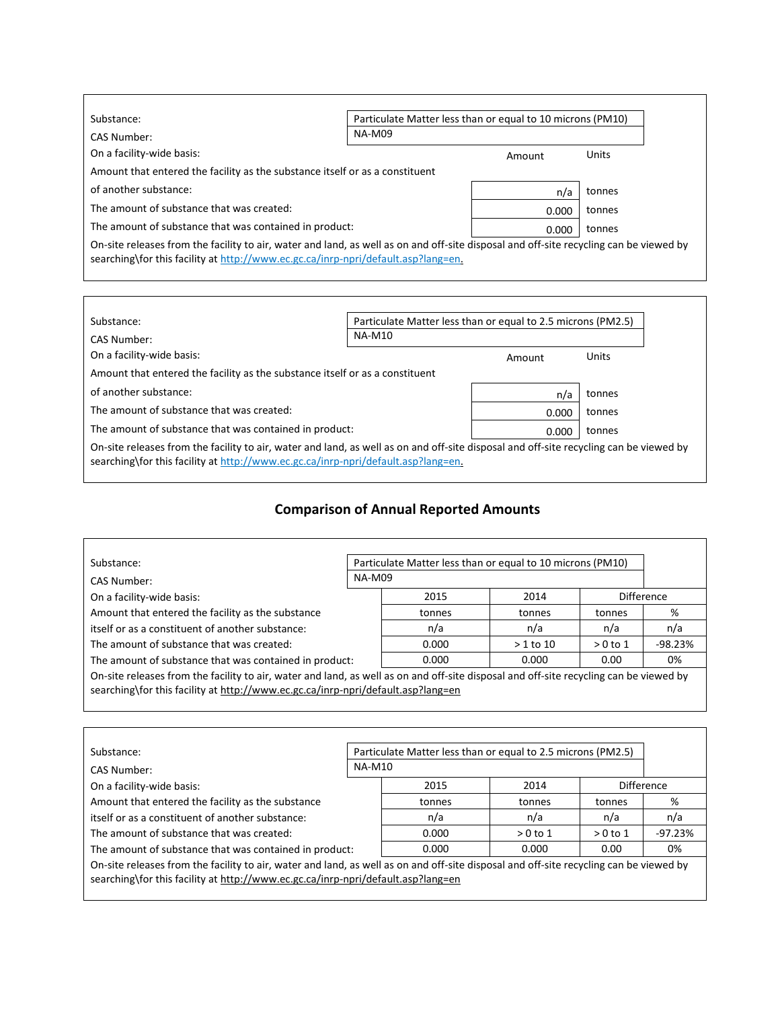| Substance:                                                                                                                             |               | Particulate Matter less than or equal to 10 microns (PM10) |        |  |
|----------------------------------------------------------------------------------------------------------------------------------------|---------------|------------------------------------------------------------|--------|--|
| CAS Number:                                                                                                                            | <b>NA-M09</b> |                                                            |        |  |
| On a facility-wide basis:                                                                                                              |               | Amount                                                     | Units  |  |
| Amount that entered the facility as the substance itself or as a constituent                                                           |               |                                                            |        |  |
| of another substance:                                                                                                                  |               | n/a                                                        | tonnes |  |
| The amount of substance that was created:                                                                                              |               | 0.000                                                      | tonnes |  |
| The amount of substance that was contained in product:                                                                                 |               | 0.000                                                      | tonnes |  |
| On-site releases from the facility to air, water and land, as well as on and off-site disposal and off-site recycling can be viewed by |               |                                                            |        |  |

searching\for this facility at http://www.ec.gc.ca/inrp-npri/default.asp?lang=en.

 $\Gamma$ 

| Substance:                                                                                                                                                                                                                  | Particulate Matter less than or equal to 2.5 microns (PM2.5) |        |        |  |  |
|-----------------------------------------------------------------------------------------------------------------------------------------------------------------------------------------------------------------------------|--------------------------------------------------------------|--------|--------|--|--|
| CAS Number:                                                                                                                                                                                                                 | <b>NA-M10</b>                                                |        |        |  |  |
| On a facility-wide basis:                                                                                                                                                                                                   |                                                              | Amount | Units  |  |  |
| Amount that entered the facility as the substance itself or as a constituent                                                                                                                                                |                                                              |        |        |  |  |
| of another substance:                                                                                                                                                                                                       |                                                              | n/a    | tonnes |  |  |
| The amount of substance that was created:                                                                                                                                                                                   |                                                              | 0.000  | tonnes |  |  |
| The amount of substance that was contained in product:                                                                                                                                                                      |                                                              | 0.000  | tonnes |  |  |
| On-site releases from the facility to air, water and land, as well as on and off-site disposal and off-site recycling can be viewed by<br>searching\for this facility at http://www.ec.gc.ca/inrp-npri/default.asp?lang=en. |                                                              |        |        |  |  |

## **Comparison of Annual Reported Amounts**

٦

| Substance:                                                                                                                             | Particulate Matter less than or equal to 10 microns (PM10) |        |            |           |                   |
|----------------------------------------------------------------------------------------------------------------------------------------|------------------------------------------------------------|--------|------------|-----------|-------------------|
| CAS Number:                                                                                                                            | <b>NA-M09</b>                                              |        |            |           |                   |
| On a facility-wide basis:                                                                                                              |                                                            | 2015   | 2014       |           | <b>Difference</b> |
| Amount that entered the facility as the substance                                                                                      |                                                            | tonnes | tonnes     | tonnes    | %                 |
| itself or as a constituent of another substance:                                                                                       |                                                            | n/a    | n/a        | n/a       | n/a               |
| The amount of substance that was created:                                                                                              |                                                            | 0.000  | $>1$ to 10 | $>0$ to 1 | $-98.23%$         |
| The amount of substance that was contained in product:                                                                                 |                                                            | 0.000  | 0.000      | 0.00      | 0%                |
| On-site releases from the facility to air, water and land, as well as on and off-site disposal and off-site recycling can be viewed by |                                                            |        |            |           |                   |
| searching\for this facility at http://www.ec.gc.ca/inrp-npri/default.asp?lang=en                                                       |                                                            |        |            |           |                   |
|                                                                                                                                        |                                                            |        |            |           |                   |

| Substance:                                                                                                                                                                                                                 | Particulate Matter less than or equal to 2.5 microns (PM2.5) |        |           |           |                   |
|----------------------------------------------------------------------------------------------------------------------------------------------------------------------------------------------------------------------------|--------------------------------------------------------------|--------|-----------|-----------|-------------------|
| CAS Number:                                                                                                                                                                                                                | <b>NA-M10</b>                                                |        |           |           |                   |
| On a facility-wide basis:                                                                                                                                                                                                  |                                                              | 2015   | 2014      |           | <b>Difference</b> |
| Amount that entered the facility as the substance                                                                                                                                                                          |                                                              | tonnes | tonnes    | tonnes    | %                 |
| itself or as a constituent of another substance:                                                                                                                                                                           |                                                              | n/a    | n/a       | n/a       | n/a               |
| The amount of substance that was created:                                                                                                                                                                                  |                                                              | 0.000  | $>0$ to 1 | $>0$ to 1 | $-97.23%$         |
| The amount of substance that was contained in product:                                                                                                                                                                     |                                                              | 0.000  | 0.000     | 0.00      | 0%                |
| On-site releases from the facility to air, water and land, as well as on and off-site disposal and off-site recycling can be viewed by<br>searching\for this facility at http://www.ec.gc.ca/inrp-npri/default.asp?lang=en |                                                              |        |           |           |                   |